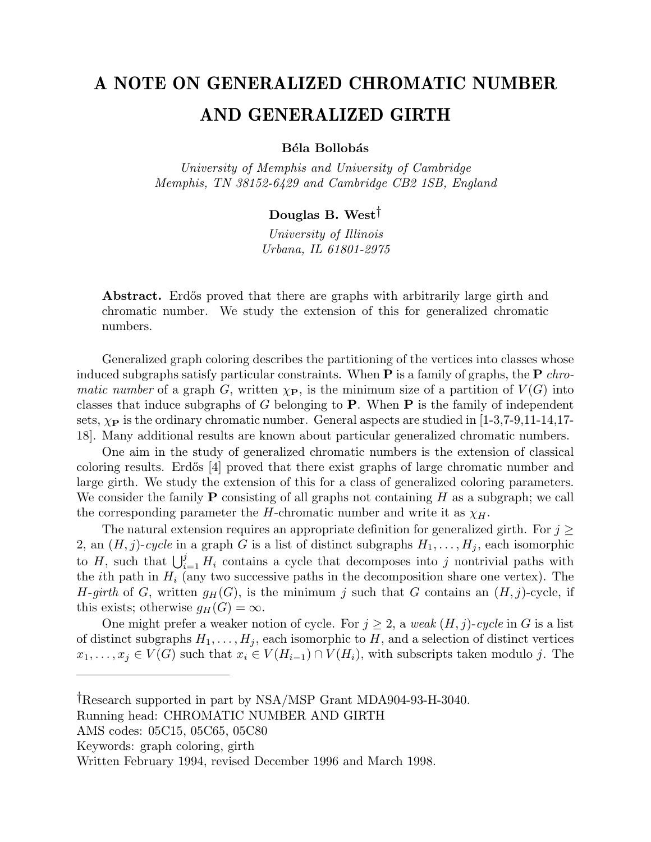## A NOTE ON GENERALIZED CHROMATIC NUMBER AND GENERALIZED GIRTH

## Béla Bollobás

University of Memphis and University of Cambridge Memphis, TN 38152-6429 and Cambridge CB2 1SB, England

## Douglas B. West†

University of Illinois Urbana, IL 61801-2975

Abstract. Erdős proved that there are graphs with arbitrarily large girth and chromatic number. We study the extension of this for generalized chromatic numbers.

Generalized graph coloring describes the partitioning of the vertices into classes whose induced subgraphs satisfy particular constraints. When  $P$  is a family of graphs, the  $P$  chromatic number of a graph G, written  $\chi_{\mathbf{P}}$ , is the minimum size of a partition of  $V(G)$  into classes that induce subgraphs of G belonging to  $P$ . When  $P$  is the family of independent sets,  $\chi_{\mathbf{P}}$  is the ordinary chromatic number. General aspects are studied in [1-3,7-9,11-14,17-18]. Many additional results are known about particular generalized chromatic numbers.

One aim in the study of generalized chromatic numbers is the extension of classical coloring results. Erdős [4] proved that there exist graphs of large chromatic number and large girth. We study the extension of this for a class of generalized coloring parameters. We consider the family  $P$  consisting of all graphs not containing  $H$  as a subgraph; we call the corresponding parameter the H-chromatic number and write it as  $\chi_H$ .

The natural extension requires an appropriate definition for generalized girth. For  $j \geq$ 2, an  $(H, j)$ -cycle in a graph G is a list of distinct subgraphs  $H_1, \ldots, H_j$ , each isomorphic to H, such that  $\bigcup_{i=1}^j H_i$  contains a cycle that decomposes into j nontrivial paths with the *i*th path in  $H_i$  (any two successive paths in the decomposition share one vertex). The H-girth of G, written  $g_H(G)$ , is the minimum j such that G contains an  $(H, j)$ -cycle, if this exists; otherwise  $g_H(G) = \infty$ .

One might prefer a weaker notion of cycle. For  $j \geq 2$ , a weak  $(H, j)$ -cycle in G is a list of distinct subgraphs  $H_1, \ldots, H_j$ , each isomorphic to H, and a selection of distinct vertices  $x_1, \ldots, x_j \in V(G)$  such that  $x_i \in V(H_{i-1}) \cap V(H_i)$ , with subscripts taken modulo j. The

<sup>†</sup>Research supported in part by NSA/MSP Grant MDA904-93-H-3040.

Running head: CHROMATIC NUMBER AND GIRTH

AMS codes: 05C15, 05C65, 05C80

Keywords: graph coloring, girth

Written February 1994, revised December 1996 and March 1998.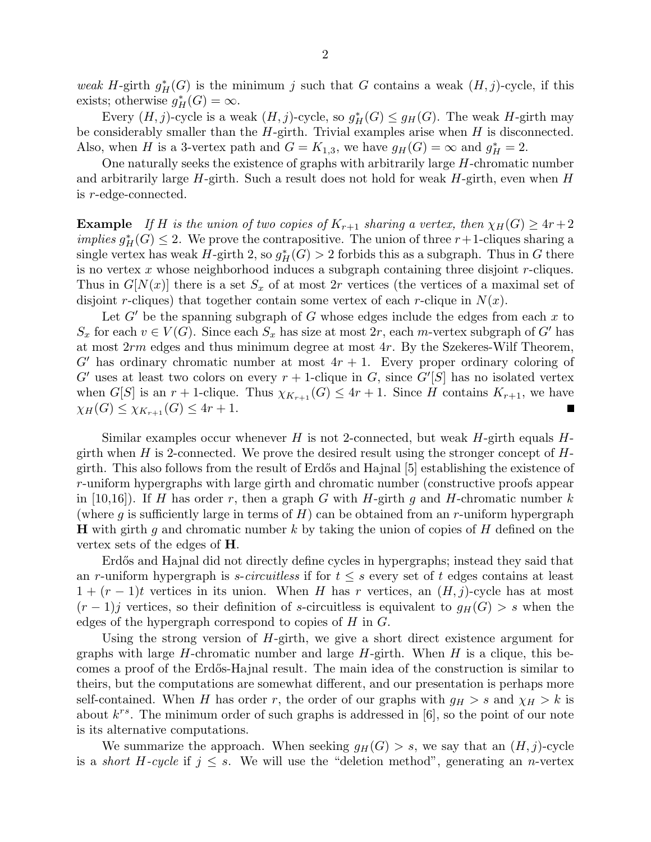weak H-girth  $g_H^*(G)$  is the minimum j such that G contains a weak  $(H, j)$ -cycle, if this exists; otherwise  $g_H^*(G) = \infty$ .

Every  $(H, j)$ -cycle is a weak  $(H, j)$ -cycle, so  $g_H^*(G) \leq g_H(G)$ . The weak H-girth may be considerably smaller than the  $H$ -girth. Trivial examples arise when  $H$  is disconnected. Also, when H is a 3-vertex path and  $G = K_{1,3}$ , we have  $g_H(G) = \infty$  and  $g_H^* = 2$ .

One naturally seeks the existence of graphs with arbitrarily large H-chromatic number and arbitrarily large  $H$ -girth. Such a result does not hold for weak  $H$ -girth, even when  $H$ is r-edge-connected.

**Example** If H is the union of two copies of  $K_{r+1}$  sharing a vertex, then  $\chi_H(G) \geq 4r+2$ *implies*  $g^*_H(G) \leq 2$ . We prove the contrapositive. The union of three  $r+1$ -cliques sharing a single vertex has weak  $\hat{H}$ -girth 2, so  $g^*_{\hat{H}}(G) > 2$  forbids this as a subgraph. Thus in G there is no vertex  $x$  whose neighborhood induces a subgraph containing three disjoint  $r$ -cliques. Thus in  $G[N(x)]$  there is a set  $S_x$  of at most 2r vertices (the vertices of a maximal set of disjoint r-cliques) that together contain some vertex of each r-clique in  $N(x)$ .

Let  $G'$  be the spanning subgraph of  $G$  whose edges include the edges from each  $x$  to  $S_x$  for each  $v \in V(G)$ . Since each  $S_x$  has size at most  $2r$ , each m-vertex subgraph of G' has at most 2rm edges and thus minimum degree at most 4r. By the Szekeres-Wilf Theorem,  $G'$  has ordinary chromatic number at most  $4r + 1$ . Every proper ordinary coloring of G' uses at least two colors on every  $r + 1$ -clique in G, since  $G'[S]$  has no isolated vertex when G[S] is an  $r + 1$ -clique. Thus  $\chi_{K_{r+1}}(G) \leq 4r + 1$ . Since H contains  $K_{r+1}$ , we have  $\chi_H(G) \leq \chi_{K_{r+1}}(G) \leq 4r+1.$ П

Similar examples occur whenever H is not 2-connected, but weak  $H$ -girth equals  $H$ girth when H is 2-connected. We prove the desired result using the stronger concept of  $H$ girth. This also follows from the result of Erd˝os and Hajnal [5] establishing the existence of r-uniform hypergraphs with large girth and chromatic number (constructive proofs appear in [10,16]). If H has order r, then a graph G with H-girth g and H-chromatic number k (where g is sufficiently large in terms of  $H$ ) can be obtained from an r-uniform hypergraph **H** with girth g and chromatic number k by taking the union of copies of H defined on the vertex sets of the edges of H.

Erdős and Hajnal did not directly define cycles in hypergraphs; instead they said that an r-uniform hypergraph is s-circuitless if for  $t \leq s$  every set of t edges contains at least  $1 + (r - 1)t$  vertices in its union. When H has r vertices, an  $(H, j)$ -cycle has at most  $(r-1)$ j vertices, so their definition of s-circuitless is equivalent to  $g_H(G) > s$  when the edges of the hypergraph correspond to copies of  $H$  in  $G$ .

Using the strong version of  $H$ -girth, we give a short direct existence argument for graphs with large H-chromatic number and large  $H$ -girth. When H is a clique, this becomes a proof of the Erd˝os-Hajnal result. The main idea of the construction is similar to theirs, but the computations are somewhat different, and our presentation is perhaps more self-contained. When H has order r, the order of our graphs with  $g_H > s$  and  $\chi_H > k$  is about  $k^{rs}$ . The minimum order of such graphs is addressed in [6], so the point of our note is its alternative computations.

We summarize the approach. When seeking  $g_H(G) > s$ , we say that an  $(H, j)$ -cycle is a *short H-cycle* if  $j \leq s$ . We will use the "deletion method", generating an *n*-vertex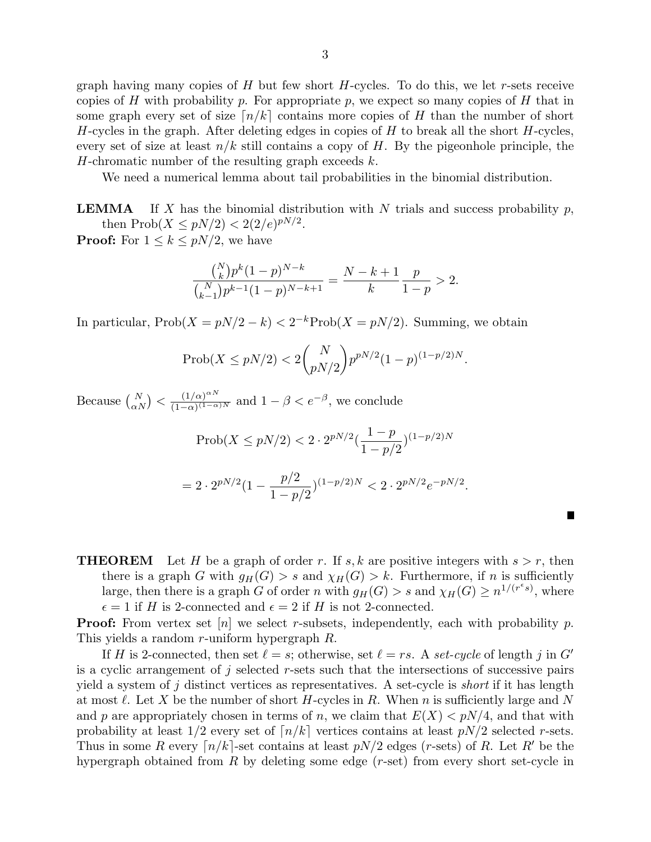graph having many copies of  $H$  but few short  $H$ -cycles. To do this, we let r-sets receive copies of H with probability p. For appropriate p, we expect so many copies of H that in some graph every set of size  $\lceil n/k \rceil$  contains more copies of H than the number of short H-cycles in the graph. After deleting edges in copies of  $H$  to break all the short  $H$ -cycles, every set of size at least  $n/k$  still contains a copy of H. By the pigeonhole principle, the H-chromatic number of the resulting graph exceeds  $k$ .

We need a numerical lemma about tail probabilities in the binomial distribution.

**LEMMA** If X has the binomial distribution with N trials and success probability p, then  $Prob(X \leq pN/2) < 2(2/e)^{pN/2}$ .

**Proof:** For  $1 \leq k \leq pN/2$ , we have

$$
\frac{\binom{N}{k}p^k(1-p)^{N-k}}{\binom{N}{k-1}p^{k-1}(1-p)^{N-k+1}} = \frac{N-k+1}{k}\frac{p}{1-p} > 2.
$$

In particular,  $\text{Prob}(X = pN/2 - k) < 2^{-k} \text{Prob}(X = pN/2)$ . Summing, we obtain

$$
Prob(X \le pN/2) < 2\binom{N}{pN/2} p^{pN/2} (1-p)^{(1-p/2)N}.
$$

Because  $\binom{N}{\alpha N} < \frac{(1/\alpha)^{\alpha N}}{(1-\alpha)^{(1-\alpha)}}$  $\frac{(1/\alpha)^{\alpha N}}{(1-\alpha)^{(1-\alpha)N}}$  and  $1-\beta < e^{-\beta}$ , we conclude

$$
\text{Prob}(X \le pN/2) < 2 \cdot 2^{pN/2} \left(\frac{1-p}{1-p/2}\right)^{(1-p/2)N}
$$
\n
$$
= 2 \cdot 2^{pN/2} \left(1 - \frac{p/2}{1-p/2}\right)^{(1-p/2)N} < 2 \cdot 2^{pN/2} e^{-pN/2}.
$$

П

**THEOREM** Let H be a graph of order r. If s, k are positive integers with  $s > r$ , then there is a graph G with  $g_H(G) > s$  and  $\chi_H(G) > k$ . Furthermore, if n is sufficiently large, then there is a graph G of order n with  $g_H(G) > s$  and  $\chi_H(G) \geq n^{1/(r^{\epsilon}s)}$ , where  $\epsilon = 1$  if H is 2-connected and  $\epsilon = 2$  if H is not 2-connected.

**Proof:** From vertex set  $[n]$  we select r-subsets, independently, each with probability p. This yields a random r-uniform hypergraph R.

If H is 2-connected, then set  $\ell = s$ ; otherwise, set  $\ell = rs$ . A set-cycle of length j in G' is a cyclic arrangement of j selected r-sets such that the intersections of successive pairs yield a system of j distinct vertices as representatives. A set-cycle is *short* if it has length at most  $\ell$ . Let X be the number of short H-cycles in R. When n is sufficiently large and N and p are appropriately chosen in terms of n, we claim that  $E(X) \leq pN/4$ , and that with probability at least  $1/2$  every set of  $\lceil n/k \rceil$  vertices contains at least  $pN/2$  selected r-sets. Thus in some R every  $\lceil n/k \rceil$ -set contains at least  $pN/2$  edges (r-sets) of R. Let R' be the hypergraph obtained from R by deleting some edge  $(r\text{-set})$  from every short set-cycle in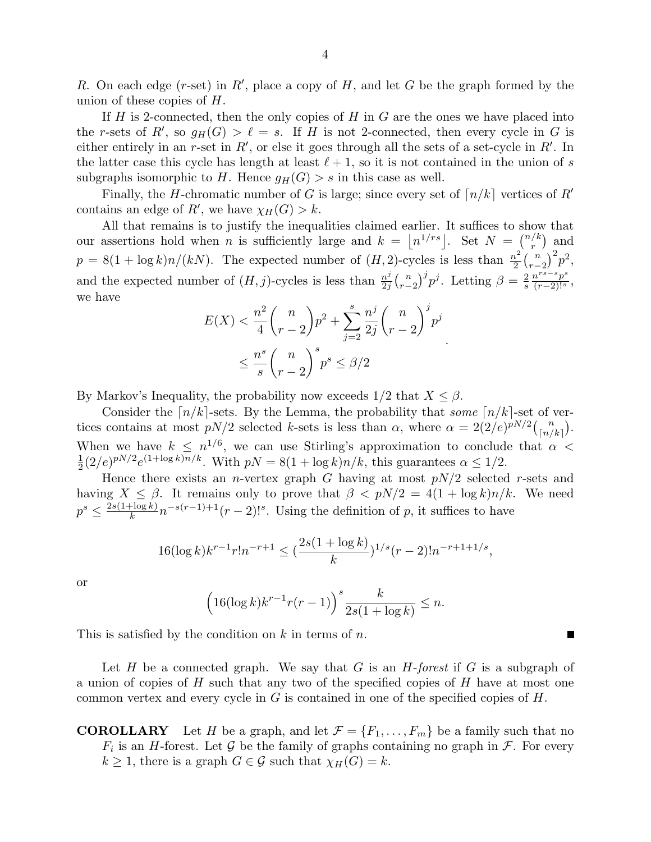R. On each edge (r-set) in R', place a copy of H, and let G be the graph formed by the union of these copies of H.

If  $H$  is 2-connected, then the only copies of  $H$  in  $G$  are the ones we have placed into the r-sets of R', so  $g_H(G) > \ell = s$ . If H is not 2-connected, then every cycle in G is either entirely in an r-set in  $R'$ , or else it goes through all the sets of a set-cycle in  $R'$ . In the latter case this cycle has length at least  $\ell + 1$ , so it is not contained in the union of s subgraphs isomorphic to H. Hence  $g_H(G) > s$  in this case as well.

Finally, the H-chromatic number of G is large; since every set of  $\lceil n/k \rceil$  vertices of R' contains an edge of  $R'$ , we have  $\chi_H(G) > k$ .

All that remains is to justify the inequalities claimed earlier. It suffices to show that our assertions hold when *n* is sufficiently large and  $k = \lfloor n^{1/r_s} \rfloor$ . Set  $N = \binom{n/k}{r}$  $\binom{k}{r}$  and  $p = 8(1 + \log k)n/(kN)$ . The expected number of  $(H, 2)$ -cycles is less than  $\frac{n^2}{2}$  $\frac{n^2}{2} {n \choose r-2}^2 p^2,$ and the expected number of  $(H, j)$ -cycles is less than  $\frac{n^j}{2i}$  $\frac{n^j}{2j} {n \choose r-2}^j p^j$ . Letting  $\beta = \frac{2}{s}$ s  $\frac{n^{rs-s}p^s}{(r-2)!^s},$ we have

$$
E(X) < \frac{n^2}{4} \binom{n}{r-2} p^2 + \sum_{j=2}^s \frac{n^j}{2j} \binom{n}{r-2}^j p^j
$$
\n
$$
\leq \frac{n^s}{s} \binom{n}{r-2}^s p^s \leq \beta/2
$$

By Markov's Inequality, the probability now exceeds  $1/2$  that  $X \leq \beta$ .

Consider the  $\lceil n/k \rceil$ -sets. By the Lemma, the probability that some  $\lceil n/k \rceil$ -set of vertices contains at most  $pN/2$  selected k-sets is less than  $\alpha$ , where  $\alpha = 2(2/e)^{pN/2} {n \choose \lceil n/k \rceil}$ . When we have  $k \leq n^{1/6}$ , we can use Stirling's approximation to conclude that  $\alpha$ 1  $\frac{1}{2}(2/e)^{pN/2}e^{(1+\log k)n/k}$ . With  $pN = 8(1 + \log k)n/k$ , this guarantees  $\alpha \leq 1/2$ .

Hence there exists an *n*-vertex graph G having at most  $pN/2$  selected r-sets and having  $X \leq \beta$ . It remains only to prove that  $\beta < pN/2 = 4(1 + \log k)n/k$ . We need  $p^s \leq \frac{2s(1+\log k)}{k}$  $\frac{F \log k}{k} n^{-s(r-1)+1}(r-2)!^s$ . Using the definition of p, it suffices to have

$$
16(\log k)k^{r-1}r!n^{-r+1} \le \left(\frac{2s(1+\log k)}{k}\right)^{1/s}(r-2)!n^{-r+1+1/s},
$$

or

$$
\left(16(\log k)k^{r-1}r(r-1)\right)^s\frac{k}{2s(1+\log k)} \leq n.
$$

This is satisfied by the condition on  $k$  in terms of  $n$ .

Let H be a connected graph. We say that G is an  $H$ -forest if G is a subgraph of a union of copies of  $H$  such that any two of the specified copies of  $H$  have at most one common vertex and every cycle in  $G$  is contained in one of the specified copies of  $H$ .

**COROLLARY** Let H be a graph, and let  $\mathcal{F} = \{F_1, \ldots, F_m\}$  be a family such that no  $F_i$  is an H-forest. Let G be the family of graphs containing no graph in  $\mathcal{F}$ . For every  $k \geq 1$ , there is a graph  $G \in \mathcal{G}$  such that  $\chi_H(G) = k$ .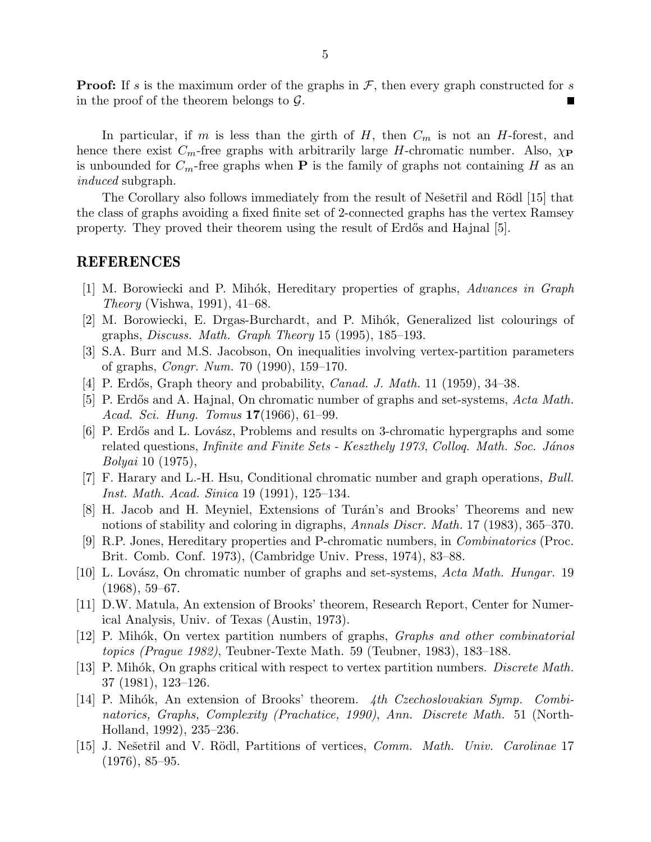**Proof:** If s is the maximum order of the graphs in  $\mathcal{F}$ , then every graph constructed for s in the proof of the theorem belongs to  $\mathcal{G}$ .

In particular, if m is less than the girth of H, then  $C_m$  is not an H-forest, and hence there exist  $C_m$ -free graphs with arbitrarily large H-chromatic number. Also,  $\chi_P$ is unbounded for  $C_m$ -free graphs when **P** is the family of graphs not containing H as an induced subgraph.

The Corollary also follows immediately from the result of Ne $\check{\rm se}$ etr̃il and Rödl [15] that the class of graphs avoiding a fixed finite set of 2-connected graphs has the vertex Ramsey property. They proved their theorem using the result of Erdős and Hajnal [5].

## REFERENCES

- [1] M. Borowiecki and P. Mih´ok, Hereditary properties of graphs, Advances in Graph Theory (Vishwa, 1991), 41–68.
- [2] M. Borowiecki, E. Drgas-Burchardt, and P. Mihók, Generalized list colourings of graphs, Discuss. Math. Graph Theory 15 (1995), 185–193.
- [3] S.A. Burr and M.S. Jacobson, On inequalities involving vertex-partition parameters of graphs, Congr. Num. 70 (1990), 159–170.
- [4] P. Erdős, Graph theory and probability, *Canad. J. Math.* 11 (1959),  $34-38$ .
- [5] P. Erdős and A. Hajnal, On chromatic number of graphs and set-systems, Acta Math. Acad. Sci. Hung. Tomus 17(1966), 61–99.
- [6] P. Erdős and L. Lovász, Problems and results on 3-chromatic hypergraphs and some related questions, *Infinite and Finite Sets - Keszthely 1973*, *Colloq. Math. Soc. János* Bolyai 10 (1975),
- [7] F. Harary and L.-H. Hsu, Conditional chromatic number and graph operations, Bull. Inst. Math. Acad. Sinica 19 (1991), 125–134.
- [8] H. Jacob and H. Meyniel, Extensions of Turán's and Brooks' Theorems and new notions of stability and coloring in digraphs, Annals Discr. Math. 17 (1983), 365–370.
- [9] R.P. Jones, Hereditary properties and P-chromatic numbers, in Combinatorics (Proc. Brit. Comb. Conf. 1973), (Cambridge Univ. Press, 1974), 83–88.
- [10] L. Lovász, On chromatic number of graphs and set-systems,  $Acta Math. Hungar.$  19  $(1968), 59-67.$
- [11] D.W. Matula, An extension of Brooks' theorem, Research Report, Center for Numerical Analysis, Univ. of Texas (Austin, 1973).
- [12] P. Mihók, On vertex partition numbers of graphs, *Graphs and other combinatorial* topics (Prague 1982), Teubner-Texte Math. 59 (Teubner, 1983), 183–188.
- [13] P. Mihók, On graphs critical with respect to vertex partition numbers. *Discrete Math.* 37 (1981), 123–126.
- [14] P. Mihók, An extension of Brooks' theorem. 4th Czechoslovakian Symp. Combinatorics, Graphs, Complexity (Prachatice, 1990), Ann. Discrete Math. 51 (North-Holland, 1992), 235–236.
- [15] J. Nešetřil and V. Rödl, Partitions of vertices, *Comm. Math. Univ. Carolinae* 17 (1976), 85–95.